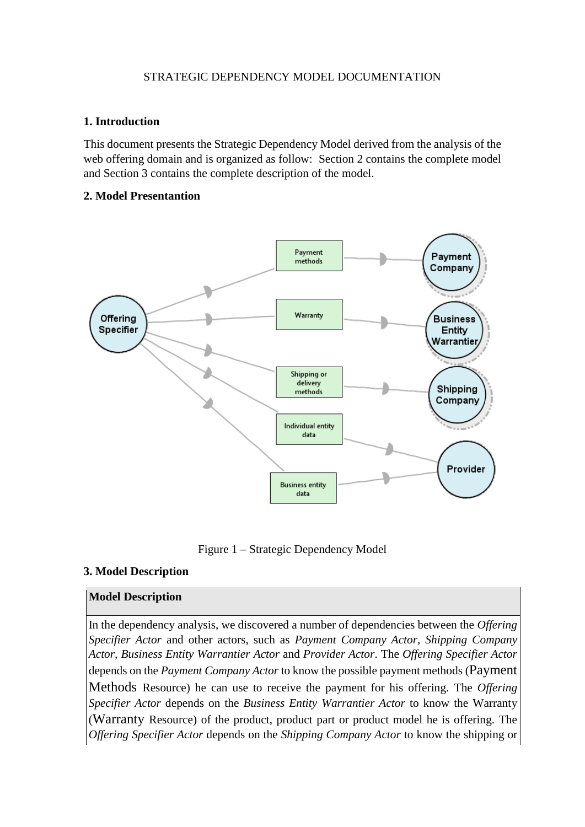# STRATEGIC DEPENDENCY MODEL DOCUMENTATION

## **1. Introduction**

This document presents the Strategic Dependency Model derived from the analysis of the web offering domain and is organized as follow: Section 2 contains the complete model and Section 3 contains the complete description of the model.

## **2. Model Presentantion**



Figure 1 – Strategic Dependency Model

# **3. Model Description**

# **Model Description**

In the dependency analysis, we discovered a number of dependencies between the *Offering Specifier Actor* and other actors, such as *Payment Company Actor, Shipping Company Actor, Business Entity Warrantier Actor* and *Provider Actor*. The *Offering Specifier Actor* depends on the *Payment Company Actor* to know the possible payment methods (Payment Methods Resource) he can use to receive the payment for his offering. The *Offering Specifier Actor* depends on the *Business Entity Warrantier Actor* to know the Warranty (Warranty Resource) of the product, product part or product model he is offering. The *Offering Specifier Actor* depends on the *Shipping Company Actor* to know the shipping or